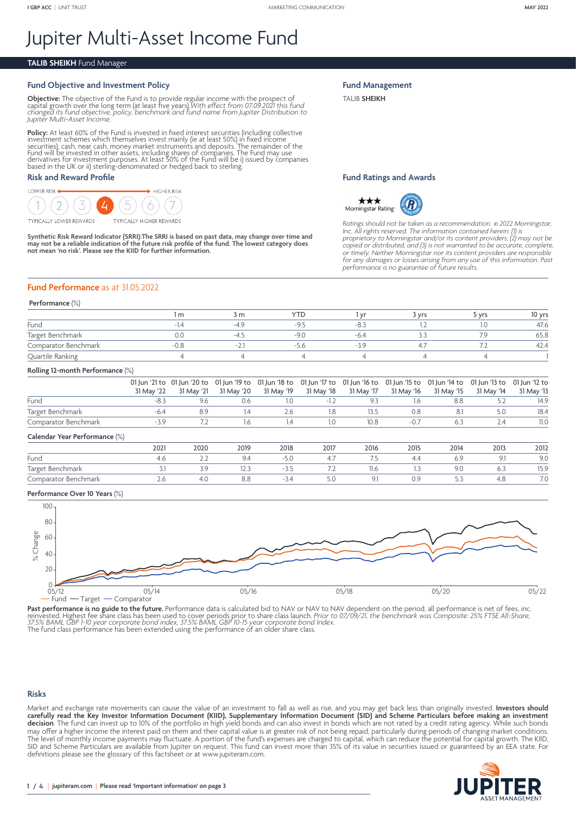# Jupiter Multi-Asset Income Fund

#### **TALIB SHEIKH** Fund Manager

#### **Fund Objective and Investment Policy**

**Objective:** The objective of the Fund is to provide regular income with the prospect of<br>capital growth over the long term (at least five years).With *effect from 07.09.2021 this fund*<br>*changed its fund objective, policy, Jupiter Multi-Asset Income.*

**Policy:** At least 60% of the Fund is invested in fixed interest securities (including collective investment schemes which themselves invest mainly (ie at least 50%) in fixed income securities), cash, near cash, money mark

#### **Risk and Reward Profile**



**Synthetic Risk Reward Indicator (SRRI):The SRRI is based on past data, may change over time and may not be a reliable indication of the future risk profile of the fund. The lowest category does not mean 'no risk'. Please see the KIID for further information.**

# **Fund Performance** as at 31.05.2022

#### **Performance** (%)

|                      | m | 3 m                      | <b>YTF</b> |           | 3 vrs | vrs | 10 yrs |
|----------------------|---|--------------------------|------------|-----------|-------|-----|--------|
| Fund                 |   | $-4c$                    | -4         | $-\infty$ |       |     | 47.6   |
| Target Benchmark     |   | $-\Delta$                | $-90$      | $-h4$     |       |     | 65.8   |
| Comparator Benchmark |   | $\overline{\phantom{0}}$ | $-7r$      | – < U     |       |     | 42.4   |
| Quartile Ranking     |   |                          |            |           |       |     |        |

### **Rolling 12-month Performance** (%)

|                      |            | 01 Jun '21 to 01 Jun '20 to 01 Jun '19 to 01 Jun '18 to 01 Jun '17 to 01 Jun '16 to 01 Jun '15 to 01 Jun '14 to 01 Jun '13 to 01 Jun '12 to |     |                                                |            |            |            |            |            |
|----------------------|------------|---------------------------------------------------------------------------------------------------------------------------------------------|-----|------------------------------------------------|------------|------------|------------|------------|------------|
|                      | 31 May '22 |                                                                                                                                             |     | 31 May '21  31 May '20  31 May '19  31 May '18 | 31 May '17 | 31 May '16 | 31 May '15 | 31 May '14 | 31 May '13 |
| Fund                 |            |                                                                                                                                             |     |                                                |            |            |            |            | 14.9       |
| Target Benchmark     |            |                                                                                                                                             |     |                                                | 13.5       | 0.8        |            |            | 18.4       |
| Comparator Benchmark |            |                                                                                                                                             | l h |                                                | 10 8       | $-07$      |            |            | 11.0       |

#### **Calendar Year Performance** (%)

|                      | 2021 | 2020     | 2019 | 2018   | 2017         | 2016 | 2015       | 2014 | 2013 | 2012                                         |
|----------------------|------|----------|------|--------|--------------|------|------------|------|------|----------------------------------------------|
| Fund                 | 4.O  | <u>.</u> | 9.4  | $-5.0$ |              | - -  | 4.4        |      |      | 9.0                                          |
| Target<br>Benchmark  |      |          | 12.: |        | . . <u>.</u> | 11.6 |            | 7.U  | O.S  | 15.9                                         |
| Comparator Benchmark |      | 4.U      | 8.8  | $-54$  | 5.U          |      | 1 U<br>U.J |      | 4.C  | $\overline{\phantom{a}}$<br>$\overline{1}$ . |
|                      |      |          |      |        |              |      |            |      |      |                                              |

#### **Performance Over 10 Years** (%)



**Past performance is no guide to the future.** Performance data is calculated bid to NAV or NAV to NAV dependent on the period, all performance is net of fees, inc.<br>reinvested. Highest fee share class has been used to cover

#### **Risks**

Market and exchange rate movements can cause the value of an investment to fall as well as rise, and you may get back less than originally invested. **Investors should**  carefully read the Key Investor Information Document (KIID), Supplementary Information Document (SID) and Scheme Particulars before making an investment **decision**. The fund can invest up to 10% of the portfolio in high yield bonds and can also invest in bonds which are not rated by a credit rating agency. While such bonds may offer a higher income the interest paid on them and their capital value is at greater risk of not being repaid, particularly during periods of changing market conditions. The level of monthly income payments may fluctuate. A portion of the fund's expenses are charged to capital, which can reduce the potential for capital growth. The KIID, SID and Scheme Particulars are available from Jupiter on request. This fund can invest more than 35% of its value in securities issued or guaranteed by an EEA state. For definitions please see the glossary of this factsheet or at [www.jupiteram.com.](www.jupiteram.com)



# **Fund Management**

TALIB **SHEIKH**

#### **Fund Ratings and Awards**



*Ratings should not be taken as a recommendation.* © *2022 Morningstar, Inc. All rights reserved. The information contained herein: (1) is*  proprietary to Morningstar and/or its content providers; (2) may not be<br>copied or distributed; and (3) is not warranted to be accurate, complete,<br>or timely. Neither Morningstar nor its content providers are responsible<br>for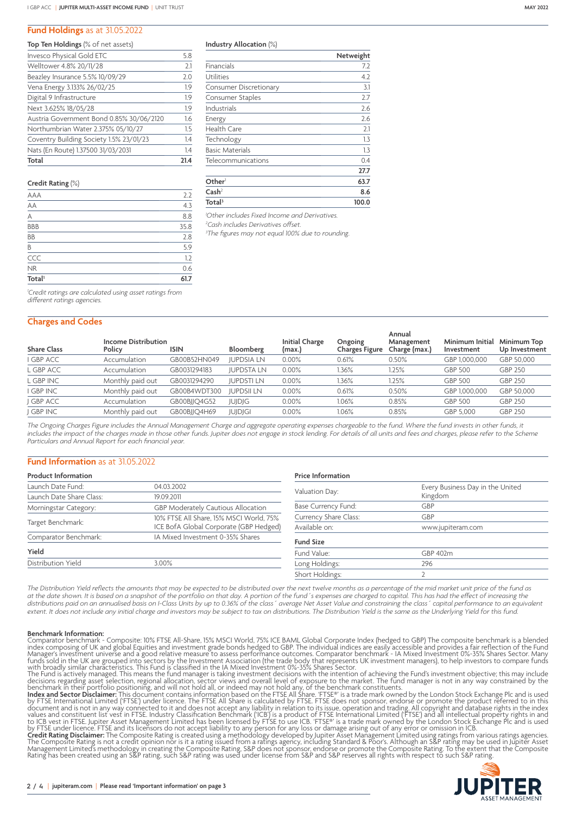## **Fund Holdings** as at 31.05.2022

|  | Top Ten Holdings (% of net assets) |  |  |  |
|--|------------------------------------|--|--|--|
|  |                                    |  |  |  |

| Invesco Physical Gold ETC                | 5.8  |
|------------------------------------------|------|
| Welltower 4.8% 20/11/28                  | 2.1  |
| Beazley Insurance 5.5% 10/09/29          | 2.0  |
| Vena Energy 3.133% 26/02/25              | 1.9  |
| Digital 9 Infrastructure                 | 1.9  |
| Next 3.625% 18/05/28                     | 1.9  |
| Austria Government Bond 0.85% 30/06/2120 | 1.6  |
| Northumbrian Water 2.375% 05/10/27       | 1.5  |
| Coventry Building Society 1.5% 23/01/23  | 1.4  |
| Nats (En Route) 1.37500 31/03/2031       | 1.4  |
| Total                                    | 21.4 |

| Credit Rating (%) |        |  |  |  |
|-------------------|--------|--|--|--|
| AAA               | $\sim$ |  |  |  |
| АA                |        |  |  |  |
|                   |        |  |  |  |

| Total <sup>1</sup> | 61.7 |
|--------------------|------|
| <b>NR</b>          | 0.6  |
| CCC                | 1.2  |
| B                  | 5.9  |
| ΒB                 | 2.8  |
| <b>BBB</b>         | 35.8 |
| А                  | 8.8  |
| AА                 | 4.3  |

| Industry Allocation (%) |
|-------------------------|
|-------------------------|

|                               | Netweight |
|-------------------------------|-----------|
| Financials                    | 7.2       |
| Utilities                     | 4.2       |
| <b>Consumer Discretionary</b> | 3.1       |
| Consumer Staples              | 2.7       |
| Industrials                   | 2.6       |
| Energy                        | 2.6       |
| <b>Health Care</b>            | 2.1       |
| Technology                    | 1.3       |
| <b>Basic Materials</b>        | 1.3       |
| Telecommunications            | 0.4       |
|                               | 27.7      |
| Other                         | 63.7      |
| $\mathsf{Cash}^2$             | 8.6       |
| Total <sup>3</sup>            | 100.0     |

*1 Other includes Fixed Income and Derivatives.*

*2 Cash includes Derivatives offset.*

*3 The figures may not equal 100% due to rounding.*

*1 Credit ratings are calculated using asset ratings from different ratings agencies.*

# **Charges and Codes**

| <b>Share Class</b> | <b>Income Distribution</b><br>Policy | <b>ISIN</b>  | Bloomberg         | <b>Initial Charge</b><br>(max.) | Ongoing<br>Charges Figure | Annual<br>Management<br>Charge (max.) | Minimum Initial<br>Investment | Minimum Top<br>Up Investment |
|--------------------|--------------------------------------|--------------|-------------------|---------------------------------|---------------------------|---------------------------------------|-------------------------------|------------------------------|
| I GBP ACC          | Accumulation                         | GB00B52HN049 | <b>JUPDSIA LN</b> | 0.00%                           | 0.61%                     | 0.50%                                 | GBP 1,000,000                 | GBP 50,000                   |
| L GBP ACC          | Accumulation                         | GB0031294183 | <b>JUPDSTA LN</b> | 0.00%                           | .36%                      | 1.25%                                 | <b>GBP 500</b>                | GBP 250                      |
| L GBP INC          | Monthly paid out                     | GB0031294290 | <b>JUPDSTILN</b>  | 0.00%                           | 1.36%                     | 1.25%                                 | <b>GBP 500</b>                | GBP 250                      |
| I GBP INC          | Monthly paid out                     | GB00B4WDT300 | <b>JUPDSII LN</b> | $0.00\%$                        | 0.61%                     | 0.50%                                 | GBP 1,000,000                 | GBP 50,000                   |
| I GBP ACC          | Accumulation                         | GB00BIIO4G52 | <b>JUJDJG</b>     | 0.00%                           | 1.06%                     | 0.85%                                 | <b>GBP 500</b>                | GBP 250                      |
| J GBP INC          | Monthly paid out                     | GB00BJJQ4H69 | <b>JUJDJGI</b>    | 0.00%                           | 1.06%                     | 0.85%                                 | GBP 5.000                     | <b>GBP 250</b>               |

*The Ongoing Charges Figure includes the Annual Management Charge and aggregate operating expenses chargeable to the fund. Where the fund invests in other funds, it includes the impact of the charges made in those other funds. Jupiter does not engage in stock lending. For details of all units and fees and charges, please refer to the Scheme Particulars and Annual Report for each financial year.*

#### **Fund Information** as at 31.05.2022

| <b>Product Information</b> |                                         | <b>Price Information</b> |                                  |  |  |
|----------------------------|-----------------------------------------|--------------------------|----------------------------------|--|--|
| Launch Date Fund:          | 04.03.2002                              | Valuation Day:           | Every Business Day in the United |  |  |
| Launch Date Share Class:   | 19.09.2011                              |                          | Kingdom                          |  |  |
| Morningstar Category:      | GBP Moderately Cautious Allocation      | Base Currency Fund:      | GBP                              |  |  |
|                            | 10% FTSE All Share, 15% MSCI World, 75% | Currency Share Class:    | GBP                              |  |  |
| Target Benchmark:          | ICE BofA Global Corporate (GBP Hedged)  | Available on:            | www.jupiteram.com                |  |  |
| Comparator Benchmark:      | IA Mixed Investment 0-35% Shares        | <b>Fund Size</b>         |                                  |  |  |
| Yield                      |                                         | Fund Value:              | GBP 402m                         |  |  |
| <b>Distribution Yield</b>  | 3.00%                                   | Long Holdings:           | 296                              |  |  |
|                            |                                         | Short Holdings:          |                                  |  |  |

The Distribution Yield reflects the amounts that may be expected to be distributed over the next twelve months as a percentage of the mid market unit price of the fund as *at the date shown. It is based on a snapshot of the portfolio on that day. A portion of the fund´s expenses are charged to capital. This has had the effect of increasing the distributions paid on an annualised basis on I-Class Units by up to 0.36% of the class´ average Net Asset Value and constraining the class´ capital performance to an equivalent extent. It does not include any initial charge and investors may be subject to tax on distributions. The Distribution Yield is the same as the Underlying Yield for this fund.*

**Benchmark Information:**<br>Comparator benchmark - Composite: 10% FTSE All-Share. 15% MSCI World, 75% ICE BAML Global Corporate Index (hedged to GBP) The composite benchmark is a blended<br>index composing of UK and global Equit

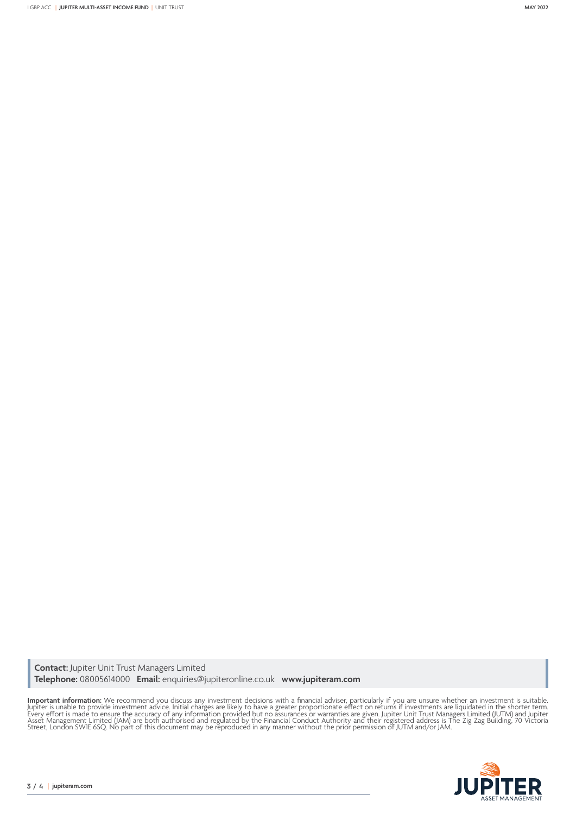I GBP ACC | **JUPITER MULTI-ASSET INCOME FUND** |UNIT TRUST **MAY 2022**

**Contact:** Jupiter Unit Trust Managers Limited **Telephone:** 08005614000 **Email:** enquiries@jupiteronline.co.uk **www.jupiteram.com**

**Important information:** We recommend you discuss any investment decisions with a financial adviser, particularly if you are unsure whether an investment is suitable.<br>Jupiter is unable to provide investment advice. Initial